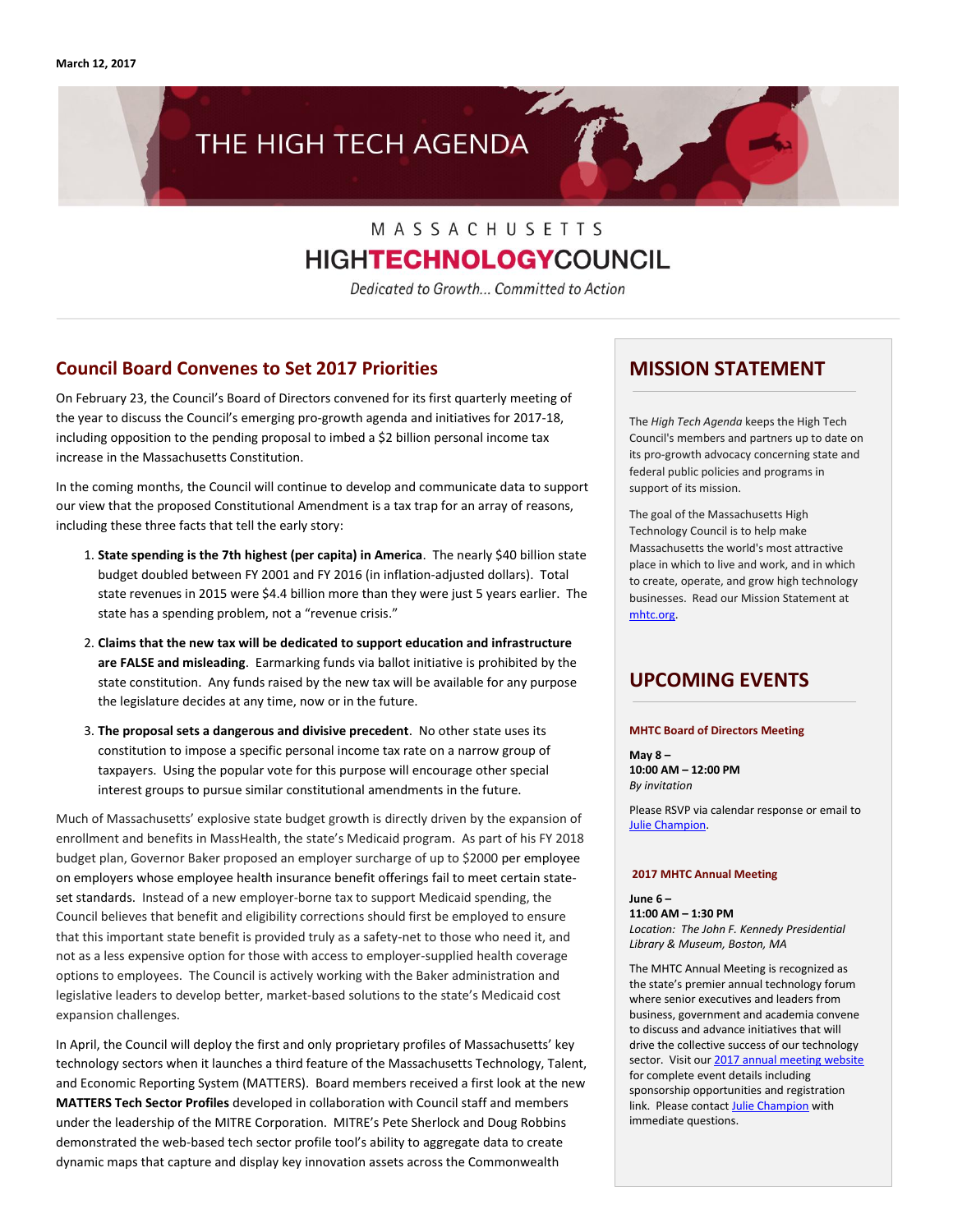

# MASSACHUSETTS **HIGHTECHNOLOGYCOUNCIL**

Dedicated to Growth... Committed to Action

### **Council Board Convenes to Set 2017 Priorities**

On February 23, the Council's Board of Directors convened for its first quarterly meeting of the year to discuss the Council's emerging pro-growth agenda and initiatives for 2017-18, including opposition to the pending proposal to imbed a \$2 billion personal income tax increase in the Massachusetts Constitution.

In the coming months, the Council will continue to develop and communicate data to support our view that the proposed Constitutional Amendment is a tax trap for an array of reasons, including these three facts that tell the early story:

- 1. **State spending is the 7th highest (per capita) in America**. The nearly \$40 billion state budget doubled between FY 2001 and FY 2016 (in inflation-adjusted dollars). Total state revenues in 2015 were \$4.4 billion more than they were just 5 years earlier. The state has a spending problem, not a "revenue crisis."
- 2. **Claims that the new tax will be dedicated to support education and infrastructure are FALSE and misleading**. Earmarking funds via ballot initiative is prohibited by the state constitution. Any funds raised by the new tax will be available for any purpose the legislature decides at any time, now or in the future.
- 3. **The proposal sets a dangerous and divisive precedent**. No other state uses its constitution to impose a specific personal income tax rate on a narrow group of taxpayers. Using the popular vote for this purpose will encourage other special interest groups to pursue similar constitutional amendments in the future.

Much of Massachusetts' explosive state budget growth is directly driven by the expansion of enrollment and benefits in MassHealth, the state's Medicaid program. As part of his FY 2018 budget plan, Governor Baker proposed an employer surcharge of up to \$2000 per employee on employers whose employee health insurance benefit offerings fail to meet certain stateset standards. Instead of a new employer-borne tax to support Medicaid spending, the Council believes that benefit and eligibility corrections should first be employed to ensure that this important state benefit is provided truly as a safety-net to those who need it, and not as a less expensive option for those with access to employer-supplied health coverage options to employees. The Council is actively working with the Baker administration and legislative leaders to develop better, market-based solutions to the state's Medicaid cost expansion challenges.

In April, the Council will deploy the first and only proprietary profiles of Massachusetts' key technology sectors when it launches a third feature of the Massachusetts Technology, Talent, and Economic Reporting System (MATTERS). Board members received a first look at the new **MATTERS Tech Sector Profiles** developed in collaboration with Council staff and members under the leadership of the MITRE Corporation. MITRE's Pete Sherlock and Doug Robbins demonstrated the web-based tech sector profile tool's ability to aggregate data to create dynamic maps that capture and display key innovation assets across the Commonwealth

### **MISSION STATEMENT**

The *High Tech Agenda* keeps the High Tech Council's members and partners up to date on its pro-growth advocacy concerning state and federal public policies and programs in support of its mission.

The goal of the Massachusetts High Technology Council is to help make Massachusetts the world's most attractive place in which to live and work, and in which to create, operate, and grow high technology businesses. Read our Mission Statement at [mhtc.org.](http://www.mhtc.org/)

### **UPCOMING EVENTS**

#### **MHTC Board of Directors Meeting**

**May 8 – 10:00 AM – 12:00 PM** *By invitation*

Please RSVP via calendar response or email to [Julie Champion.](mailto:mail%20to:%20julie@mhtc.org)

#### **2017 MHTC Annual Meeting**

**June 6 – 11:00 AM – 1:30 PM** *Location: The John F. Kennedy Presidential Library & Museum, Boston, MA*

The MHTC Annual Meeting is recognized as the state's premier annual technology forum where senior executives and leaders from business, government and academia convene to discuss and advance initiatives that will drive the collective success of our technology sector. Visit ou[r 2017 annual meeting website](http://www.mhtc.org/?p=161211) for complete event details including sponsorship opportunities and registration link. Please contac[t Julie Champion](mailto:julie@mhtc.org) with immediate questions.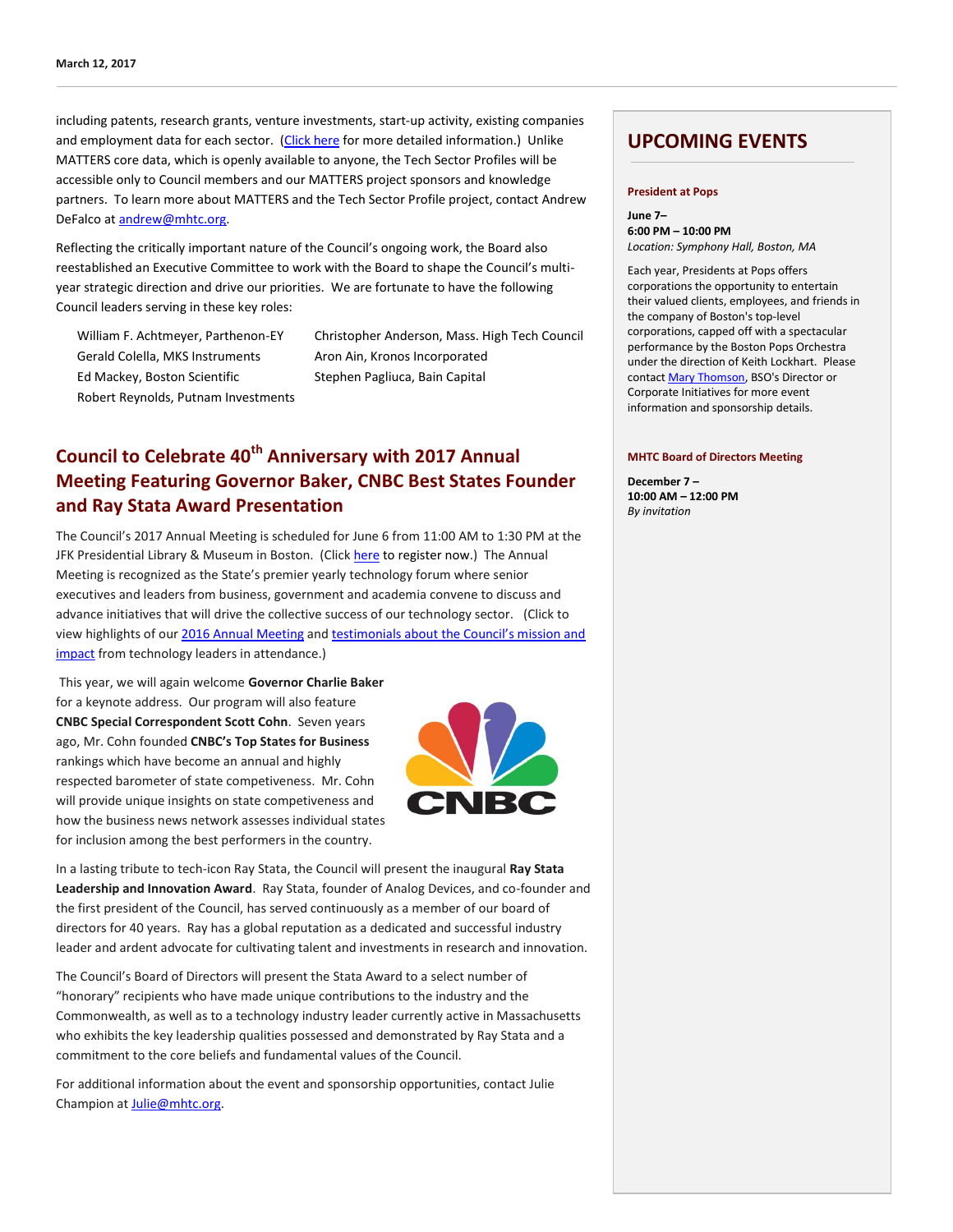including patents, research grants, venture investments, start-up activity, existing companies and employment data for each sector. [\(Click here](http://www.mhtc.org/?p=163124) for more detailed information.) Unlike MATTERS core data, which is openly available to anyone, the Tech Sector Profiles will be accessible only to Council members and our MATTERS project sponsors and knowledge partners. To learn more about MATTERS and the Tech Sector Profile project, contact Andrew DeFalco a[t andrew@mhtc.org.](mailto:andrew@mhtc.org)

Reflecting the critically important nature of the Council's ongoing work, the Board also reestablished an Executive Committee to work with the Board to shape the Council's multiyear strategic direction and drive our priorities. We are fortunate to have the following Council leaders serving in these key roles:

Gerald Colella, MKS Instruments Aron Ain, Kronos Incorporated Ed Mackey, Boston Scientific Stephen Pagliuca, Bain Capital Robert Reynolds, Putnam Investments

William F. Achtmeyer, Parthenon-EY Christopher Anderson, Mass. High Tech Council

## **Council to Celebrate 40th Anniversary with 2017 Annual Meeting Featuring Governor Baker, CNBC Best States Founder and Ray Stata Award Presentation**

The Council's 2017 Annual Meeting is scheduled for June 6 from 11:00 AM to 1:30 PM at the JFK Presidential Library & Museum in Boston. (Clic[k here](https://mhtc-events-2017-annual-meeting-06062017.eventbrite.com/) to register now.) The Annual Meeting is recognized as the State's premier yearly technology forum where senior executives and leaders from business, government and academia convene to discuss and advance initiatives that will drive the collective success of our technology sector. (Click to view highlights of ou[r 2016 Annual Meeting](https://vimeo.com/163859718) and testimonials about the Council's mission and [impact](https://vimeo.com/165928914) from technology leaders in attendance.)

This year, we will again welcome **Governor Charlie Baker**  for a keynote address. Our program will also feature **CNBC Special Correspondent Scott Cohn**. Seven years ago, Mr. Cohn founded **CNBC's Top States for Business** rankings which have become an annual and highly respected barometer of state competiveness. Mr. Cohn will provide unique insights on state competiveness and how the business news network assesses individual states for inclusion among the best performers in the country.



In a lasting tribute to tech-icon Ray Stata, the Council will present the inaugural **Ray Stata Leadership and Innovation Award**. Ray Stata, founder of Analog Devices, and co-founder and the first president of the Council, has served continuously as a member of our board of directors for 40 years. Ray has a global reputation as a dedicated and successful industry leader and ardent advocate for cultivating talent and investments in research and innovation.

The Council's Board of Directors will present the Stata Award to a select number of "honorary" recipients who have made unique contributions to the industry and the Commonwealth, as well as to a technology industry leader currently active in Massachusetts who exhibits the key leadership qualities possessed and demonstrated by Ray Stata and a commitment to the core beliefs and fundamental values of the Council.

For additional information about the event and sponsorship opportunities, contact Julie Champion at **Julie@mhtc.org**.

### **UPCOMING EVENTS**

#### **President at Pops**

**June 7– 6:00 PM – 10:00 PM** *Location: Symphony Hall, Boston, MA*

Each year, Presidents at Pops offers corporations the opportunity to entertain their valued clients, employees, and friends in the company of Boston's top-level corporations, capped off with a spectacular performance by the Boston Pops Orchestra under the direction of Keith Lockhart. Please contac[t Mary Thomson,](mailto:mthomson@bso.org) BSO's Director or Corporate Initiatives for more event information and sponsorship details.

#### **MHTC Board of Directors Meeting**

**December 7 – 10:00 AM – 12:00 PM** *By invitation*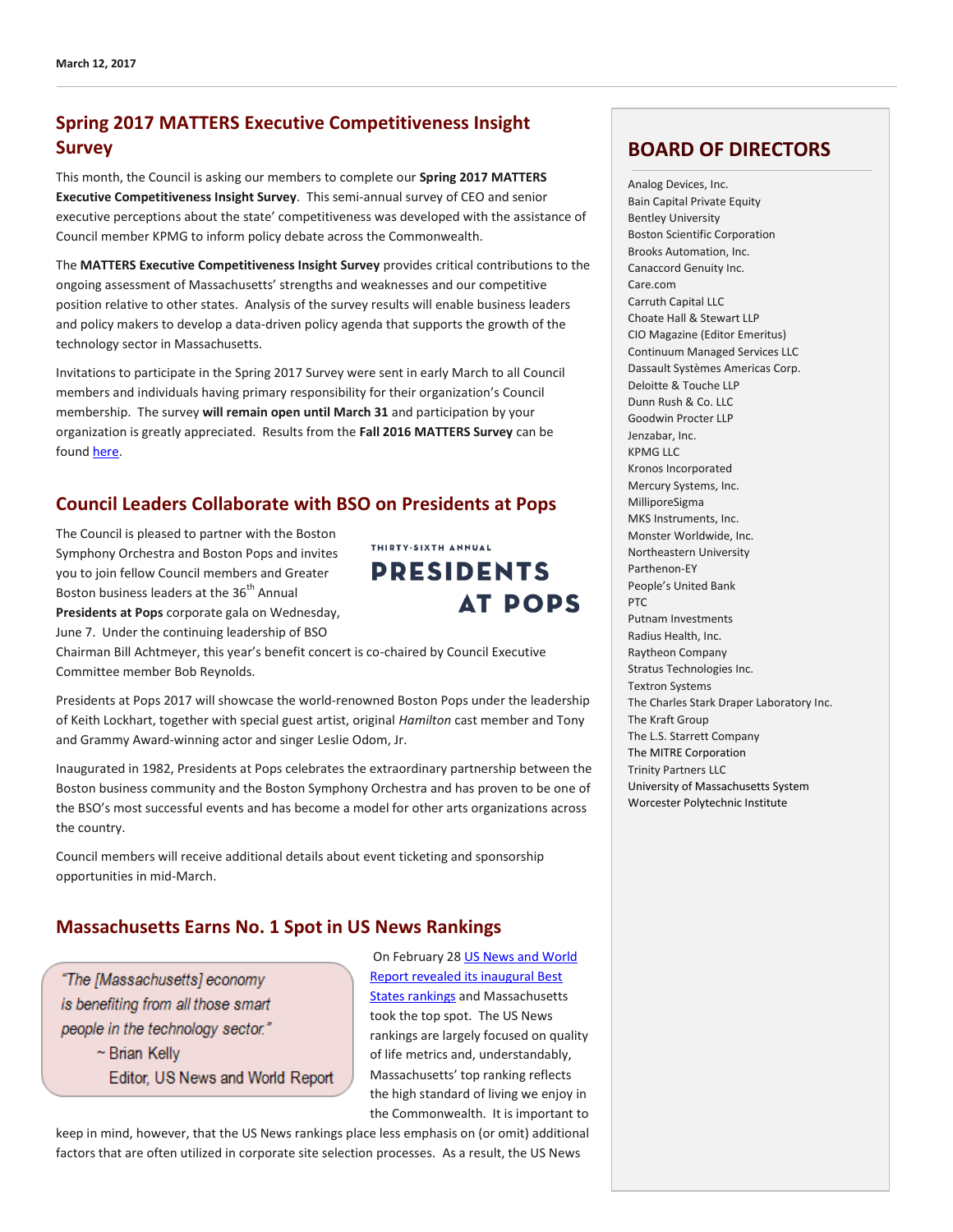### **Spring 2017 MATTERS Executive Competitiveness Insight Survey**

This month, the Council is asking our members to complete our **Spring 2017 MATTERS Executive Competitiveness Insight Survey**. This semi-annual survey of CEO and senior executive perceptions about the state' competitiveness was developed with the assistance of Council member KPMG to inform policy debate across the Commonwealth.

The **MATTERS Executive Competitiveness Insight Survey** provides critical contributions to the ongoing assessment of Massachusetts' strengths and weaknesses and our competitive position relative to other states. Analysis of the survey results will enable business leaders and policy makers to develop a data-driven policy agenda that supports the growth of the technology sector in Massachusetts.

Invitations to participate in the Spring 2017 Survey were sent in early March to all Council members and individuals having primary responsibility for their organization's Council membership. The survey **will remain open until March 31** and participation by your organization is greatly appreciated. Results from the **Fall 2016 MATTERS Survey** can be found [here.](http://matters.mhtc.org/resources/MATTERS_Executive_Competitiveness_Insight_Survey_Fall_2016.pdf)

### **Council Leaders Collaborate with BSO on Presidents at Pops**

The Council is pleased to partner with the Boston Symphony Orchestra and Boston Pops and invites you to join fellow Council members and Greater Boston business leaders at the 36<sup>th</sup> Annual **Presidents at Pops** corporate gala on Wednesday, June 7. Under the continuing leadership of BSO

THIRTY-SIXTH ANNUAL **PRESIDENTS AT POPS** 

Chairman Bill Achtmeyer, this year's benefit concert is co-chaired by Council Executive Committee member Bob Reynolds.

Presidents at Pops 2017 will showcase the world-renowned Boston Pops under the leadership of Keith Lockhart, together with special guest artist, original *Hamilton* cast member and Tony and Grammy Award-winning actor and singer Leslie Odom, Jr.

Inaugurated in 1982, Presidents at Pops celebrates the extraordinary partnership between the Boston business community and the Boston Symphony Orchestra and has proven to be one of the BSO's most successful events and has become a model for other arts organizations across the country.

Council members will receive additional details about event ticketing and sponsorship opportunities in mid-March.

### **Massachusetts Earns No. 1 Spot in US News Rankings**

"The [Massachusetts] economy is benefiting from all those smart people in the technology sector."  $\sim$  Brian Kelly Editor, US News and World Report

On February 2[8 US News and World](https://www.usnews.com/news/best-states/massachusetts)  [Report revealed its inaugural Best](https://www.usnews.com/news/best-states/massachusetts)  [States rankings](https://www.usnews.com/news/best-states/massachusetts) and Massachusetts took the top spot. The US News rankings are largely focused on quality of life metrics and, understandably, Massachusetts' top ranking reflects the high standard of living we enjoy in the Commonwealth. It is important to

keep in mind, however, that the US News rankings place less emphasis on (or omit) additional factors that are often utilized in corporate site selection processes. As a result, the US News

### **BOARD OF DIRECTORS**

Analog Devices, Inc. Bain Capital Private Equity Bentley University Boston Scientific Corporation Brooks Automation, Inc. Canaccord Genuity Inc. Care.com Carruth Capital LLC Choate Hall & Stewart LLP CIO Magazine (Editor Emeritus) Continuum Managed Services LLC Dassault Systèmes Americas Corp. Deloitte & Touche LLP Dunn Rush & Co. LLC Goodwin Procter LLP Jenzabar, Inc. KPMG LLC Kronos Incorporated Mercury Systems, Inc. MilliporeSigma MKS Instruments, Inc. Monster Worldwide, Inc. Northeastern University Parthenon-EY People's United Bank PTC Putnam Investments Radius Health, Inc. Raytheon Company Stratus Technologies Inc. Textron Systems The Charles Stark Draper Laboratory Inc. The Kraft Group The L.S. Starrett Company The MITRE Corporation Trinity Partners LLC University of Massachusetts System Worcester Polytechnic Institute